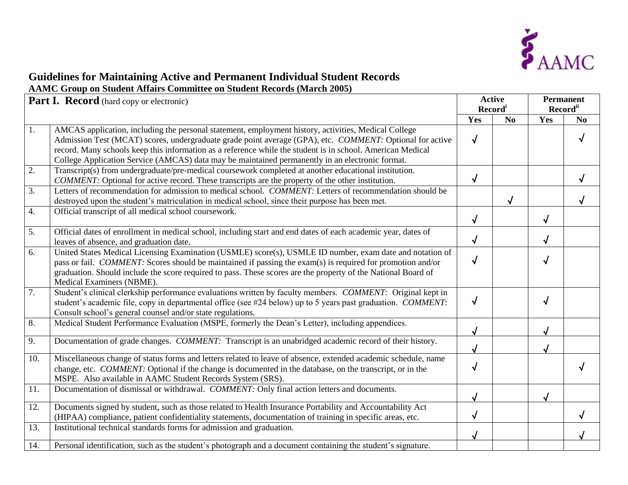

## **Guidelines for Maintaining Active and Permanent Individual Student Records AAMC Group on Student Affairs Committee on Student Records (March 2005)**

| Part I. Record (hard copy or electronic) |                                                                                                                                                                                                                                                                                                                                                                              | <b>Active</b><br>Record <sup>i</sup> |    | <b>Permanent</b><br>Record <sup>ii</sup> |                |
|------------------------------------------|------------------------------------------------------------------------------------------------------------------------------------------------------------------------------------------------------------------------------------------------------------------------------------------------------------------------------------------------------------------------------|--------------------------------------|----|------------------------------------------|----------------|
|                                          |                                                                                                                                                                                                                                                                                                                                                                              |                                      |    | Yes                                      |                |
| 1.                                       | AMCAS application, including the personal statement, employment history, activities, Medical College<br>Admission Test (MCAT) scores, undergraduate grade point average (GPA), etc. COMMENT: Optional for active                                                                                                                                                             | Yes<br>$\sqrt{}$                     | No |                                          | N <sub>0</sub> |
|                                          | record. Many schools keep this information as a reference while the student is in school. American Medical<br>College Application Service (AMCAS) data may be maintained permanently in an electronic format.                                                                                                                                                                |                                      |    |                                          |                |
| 2.                                       | Transcript(s) from undergraduate/pre-medical coursework completed at another educational institution.<br>COMMENT: Optional for active record. These transcripts are the property of the other institution.                                                                                                                                                                   | √                                    |    |                                          |                |
| 3.                                       | Letters of recommendation for admission to medical school. COMMENT: Letters of recommendation should be<br>destroyed upon the student's matriculation in medical school, since their purpose has been met.                                                                                                                                                                   |                                      |    |                                          |                |
| 4.                                       | Official transcript of all medical school coursework.                                                                                                                                                                                                                                                                                                                        | √                                    |    | $\sqrt{ }$                               |                |
| 5.                                       | Official dates of enrollment in medical school, including start and end dates of each academic year, dates of<br>leaves of absence, and graduation date.                                                                                                                                                                                                                     | $\sqrt{}$                            |    | $\sqrt{ }$                               |                |
| 6.                                       | United States Medical Licensing Examination (USMLE) score(s), USMLE ID number, exam date and notation of<br>pass or fail. <i>COMMENT</i> : Scores should be maintained if passing the exam(s) is required for promotion and/or<br>graduation. Should include the score required to pass. These scores are the property of the National Board of<br>Medical Examiners (NBME). | $\sqrt{}$                            |    | $\sqrt{ }$                               |                |
| 7.                                       | Student's clinical clerkship performance evaluations written by faculty members. COMMENT: Original kept in<br>student's academic file, copy in departmental office (see #24 below) up to 5 years past graduation. COMMENT:<br>Consult school's general counsel and/or state regulations.                                                                                     | $\sqrt{}$                            |    | $\sqrt{}$                                |                |
| $\overline{8}$ .                         | Medical Student Performance Evaluation (MSPE, formerly the Dean's Letter), including appendices.                                                                                                                                                                                                                                                                             | √                                    |    |                                          |                |
| 9.                                       | Documentation of grade changes. COMMENT: Transcript is an unabridged academic record of their history.                                                                                                                                                                                                                                                                       | √                                    |    |                                          |                |
| 10.                                      | Miscellaneous change of status forms and letters related to leave of absence, extended academic schedule, name<br>change, etc. <i>COMMENT</i> : Optional if the change is documented in the database, on the transcript, or in the<br>MSPE. Also available in AAMC Student Records System (SRS).                                                                             | $\sqrt{}$                            |    |                                          |                |
| 11.                                      | Documentation of dismissal or withdrawal. COMMENT: Only final action letters and documents.                                                                                                                                                                                                                                                                                  |                                      |    |                                          |                |
| 12.                                      | Documents signed by student, such as those related to Health Insurance Portability and Accountability Act<br>(HIPAA) compliance, patient confidentiality statements, documentation of training in specific areas, etc.                                                                                                                                                       | √                                    |    |                                          |                |
| 13.                                      | Institutional technical standards forms for admission and graduation.                                                                                                                                                                                                                                                                                                        |                                      |    |                                          |                |
| 14.                                      | Personal identification, such as the student's photograph and a document containing the student's signature.                                                                                                                                                                                                                                                                 |                                      |    |                                          |                |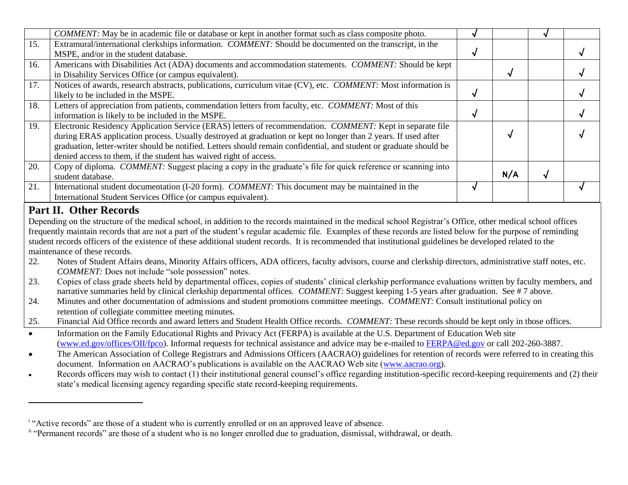|                                                                                                                                                                 | COMMENT: May be in academic file or database or kept in another format such as class composite photo.                                                       |   |     |   |   |  |  |  |
|-----------------------------------------------------------------------------------------------------------------------------------------------------------------|-------------------------------------------------------------------------------------------------------------------------------------------------------------|---|-----|---|---|--|--|--|
| 15.                                                                                                                                                             | Extramural/international clerkships information. COMMENT: Should be documented on the transcript, in the                                                    |   |     |   |   |  |  |  |
|                                                                                                                                                                 | MSPE, and/or in the student database.                                                                                                                       | √ |     |   |   |  |  |  |
| 16.                                                                                                                                                             | Americans with Disabilities Act (ADA) documents and accommodation statements. COMMENT: Should be kept                                                       |   |     |   |   |  |  |  |
|                                                                                                                                                                 | in Disability Services Office (or campus equivalent).                                                                                                       |   | √   |   |   |  |  |  |
| 17.                                                                                                                                                             | Notices of awards, research abstracts, publications, curriculum vitae (CV), etc. COMMENT: Most information is                                               |   |     |   |   |  |  |  |
|                                                                                                                                                                 | likely to be included in the MSPE.                                                                                                                          | √ |     |   | √ |  |  |  |
| 18.                                                                                                                                                             | Letters of appreciation from patients, commendation letters from faculty, etc. COMMENT: Most of this                                                        |   |     |   |   |  |  |  |
|                                                                                                                                                                 | information is likely to be included in the MSPE.                                                                                                           | √ |     |   |   |  |  |  |
| 19.                                                                                                                                                             | Electronic Residency Application Service (ERAS) letters of recommendation. COMMENT: Kept in separate file                                                   |   |     |   |   |  |  |  |
|                                                                                                                                                                 | during ERAS application process. Usually destroyed at graduation or kept no longer than 2 years. If used after                                              |   |     |   |   |  |  |  |
|                                                                                                                                                                 | graduation, letter-writer should be notified. Letters should remain confidential, and student or graduate should be                                         |   |     |   |   |  |  |  |
|                                                                                                                                                                 | denied access to them, if the student has waived right of access.                                                                                           |   |     |   |   |  |  |  |
| 20.                                                                                                                                                             | Copy of diploma. COMMENT: Suggest placing a copy in the graduate's file for quick reference or scanning into                                                |   |     |   |   |  |  |  |
|                                                                                                                                                                 | student database.                                                                                                                                           |   | N/A | √ |   |  |  |  |
| 21.                                                                                                                                                             | International student documentation (I-20 form). COMMENT: This document may be maintained in the                                                            | √ |     |   |   |  |  |  |
|                                                                                                                                                                 | International Student Services Office (or campus equivalent).                                                                                               |   |     |   |   |  |  |  |
|                                                                                                                                                                 |                                                                                                                                                             |   |     |   |   |  |  |  |
| <b>Part II. Other Records</b>                                                                                                                                   |                                                                                                                                                             |   |     |   |   |  |  |  |
| Depending on the structure of the medical school, in addition to the records maintained in the medical school Registrar's Office, other medical school offices  |                                                                                                                                                             |   |     |   |   |  |  |  |
| frequently maintain records that are not a part of the student's regular academic file. Examples of these records are listed below for the purpose of reminding |                                                                                                                                                             |   |     |   |   |  |  |  |
| student records officers of the existence of these additional student records. It is recommended that institutional guidelines be developed related to the      |                                                                                                                                                             |   |     |   |   |  |  |  |
| maintenance of these records.                                                                                                                                   |                                                                                                                                                             |   |     |   |   |  |  |  |
|                                                                                                                                                                 |                                                                                                                                                             |   |     |   |   |  |  |  |
| 22.                                                                                                                                                             | Notes of Student Affairs deans, Minority Affairs officers, ADA officers, faculty advisors, course and clerkship directors, administrative staff notes, etc. |   |     |   |   |  |  |  |
|                                                                                                                                                                 | COMMENT: Does not include "sole possession" notes.                                                                                                          |   |     |   |   |  |  |  |
| 23.                                                                                                                                                             | Copies of class grade sheets held by departmental offices, copies of students' clinical clerkship performance evaluations written by faculty members, and   |   |     |   |   |  |  |  |
|                                                                                                                                                                 | narrative summaries held by clinical clerkship departmental offices. COMMENT: Suggest keeping 1-5 years after graduation. See #7 above.                     |   |     |   |   |  |  |  |
| 24.                                                                                                                                                             | Minutes and other documentation of admissions and student promotions committee meetings. COMMENT: Consult institutional policy on                           |   |     |   |   |  |  |  |

25. Financial Aid Office records and award letters and Student Health Office records. *COMMENT:* These records should be kept only in those offices.

- Information on the Family Educational Rights and Privacy Act (FERPA) is available at the U.S. Department of Education Web site  $\bullet$ [\(www.ed.gov/offices/OII/fpco\)](http://www.ed.gov/offices/OII/fpco). Informal requests for technical assistance and advice may be e-mailed to [FERPA@ed.gov](mailto:FERPA@ed.gov) or call 202-260-3887.
- The American Association of College Registrars and Admissions Officers (AACRAO) guidelines for retention of records were referred to in creating this  $\bullet$ document. Information on AACRAO's publications is available on the AACRAO Web site [\(www.aacrao.org\)](http://www.aacrao.org/).
- Records officers may wish to contact (1) their institutional general counsel's office regarding institution-specific record-keeping requirements and (2) their  $\bullet$ state's medical licensing agency regarding specific state record-keeping requirements.

 $\overline{a}$ 

<sup>&</sup>lt;sup>i</sup> "Active records" are those of a student who is currently enrolled or on an approved leave of absence.

<sup>&</sup>lt;sup>ii</sup> "Permanent records" are those of a student who is no longer enrolled due to graduation, dismissal, withdrawal, or death.